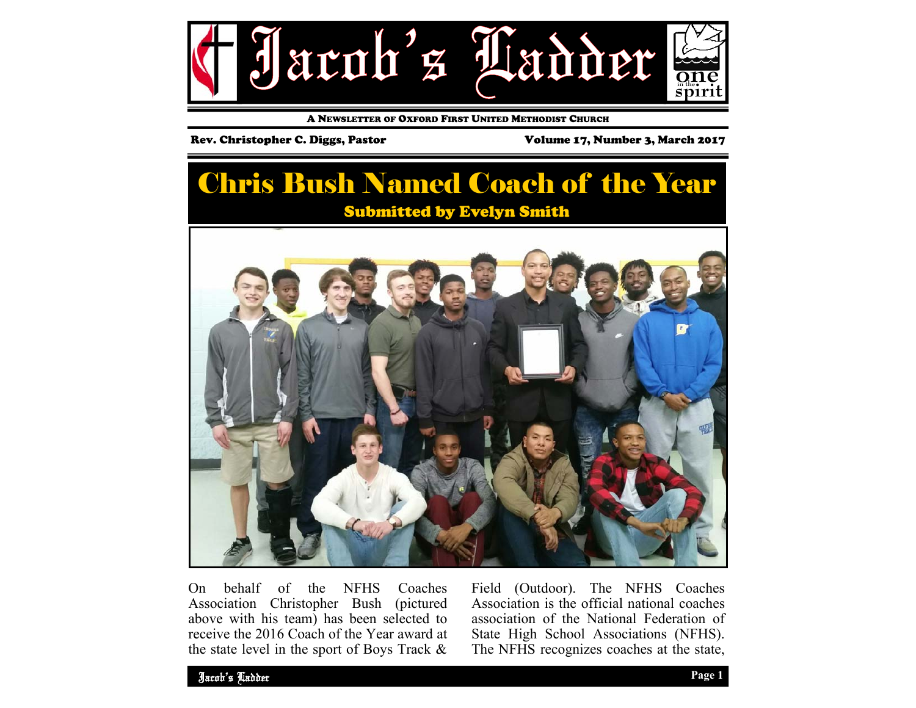

A NEWSLETTER OF OXFORD FIRST UNITED METHODIST CHURCH

### Rev. Christopher C. Diggs, Pastor Volume 17, Number 3, March 2017

# Chris Bush Named Coach of the Year Submitted by Evelyn Smith



On behalf of the NFHS Coaches Association Christopher Bush (pictured above with his team) has been selected to receive the 2016 Coach of the Year award at the state level in the sport of Boys Track &

Field (Outdoor). The NFHS Coaches Association is the official national coaches association of the National Federation of State High School Associations (NFHS). The NFHS recognizes coaches at the state,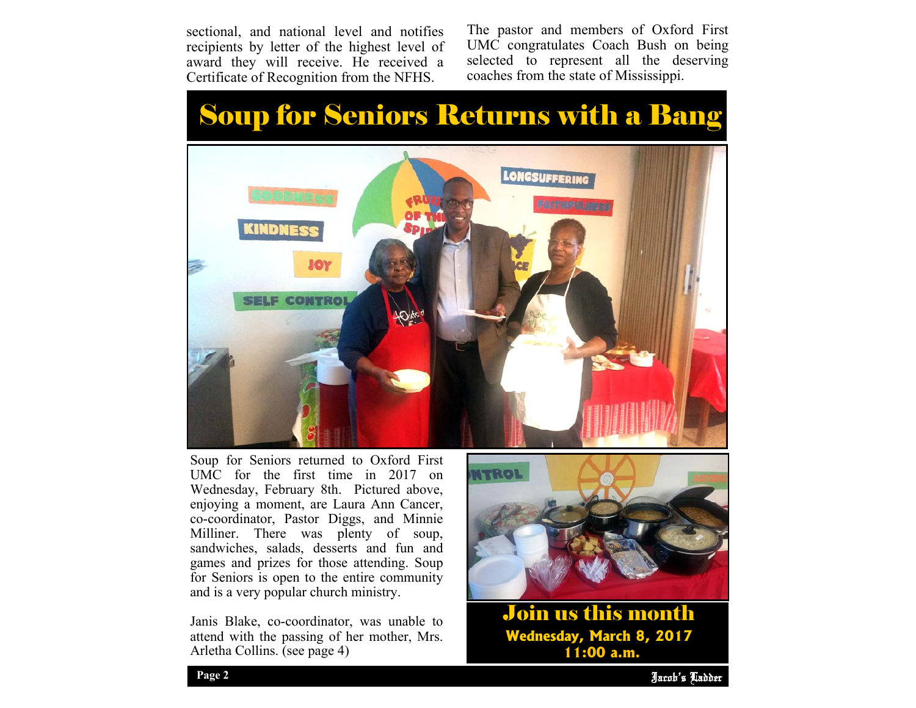sectional, and national level and notifies recipients by letter of the highest level of award they will receive. He received a Certificate of Recognition from the NFHS.

The pastor and members of Oxford First UMC congratulates Coach Bush on being selected to represent all the deserving coaches from the state of Mississippi.

# Soup for Seniors Returns with a Bang



Soup for Seniors returned to Oxford First UMC for the first time in 2017 on Wednesday, February 8th. Pictured above, enjoying a moment, are Laura Ann Cancer, co-coordinator, Pastor Diggs, and Minnie Milliner. There was plenty of soup, sandwiches, salads, desserts and fun and games and prizes for those attending. Soup for Seniors is open to the entire community and is a very popular church ministry.

Janis Blake, co-coordinator, was unable to attend with the passing of her mother, Mrs. Arletha Collins. (see page 4)



Join us this month **Wednesday, March 8, 2017 11:00 a.m.** 

Jacob's Ladder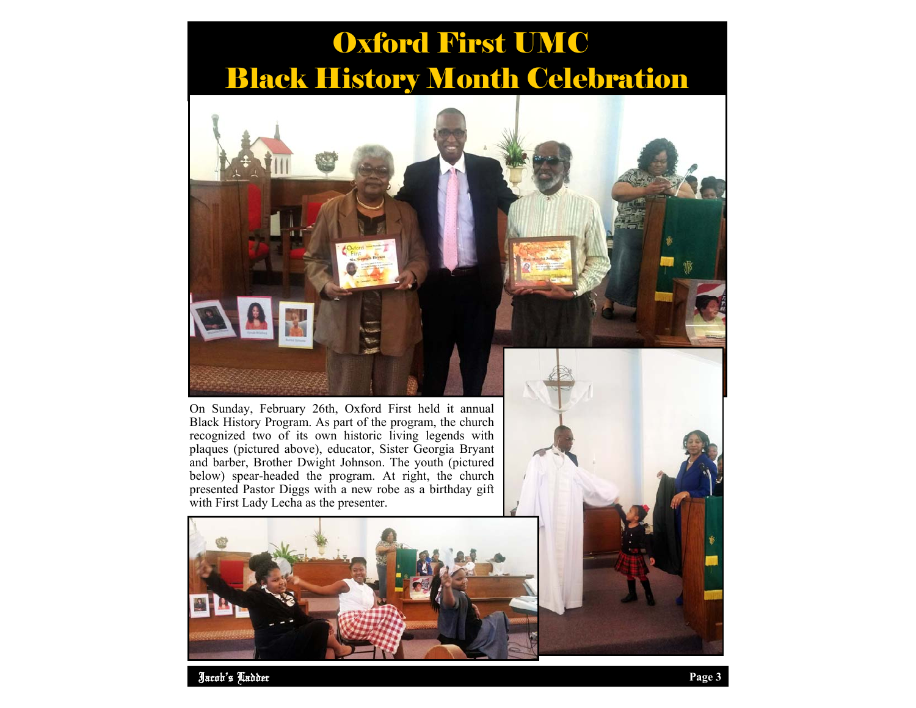# Oxford First UMC Black History Month Celebration



On Sunday, February 26th, Oxford First held it annual Black History Program. As part of the program, the church recognized two of its own historic living legends with plaques (pictured above), educator, Sister Georgia Bryant and barber, Brother Dwight Johnson. The youth (pictured below) spear-headed the program. At right, the church presented Pastor Diggs with a new robe as a birthday gift with First Lady Lecha as the presenter.



Jacob's Ladder